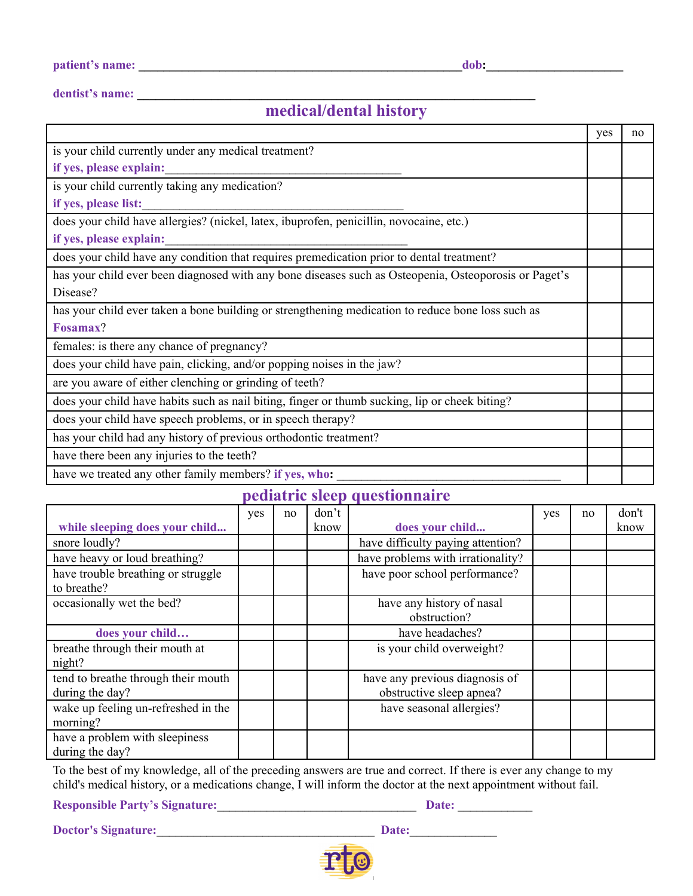Ē

**dentist's name: \_\_\_\_\_\_\_\_\_\_\_\_\_\_\_\_\_\_\_\_\_\_\_\_\_\_\_\_\_\_\_\_\_\_\_\_\_\_\_\_\_\_\_\_\_\_\_\_\_\_\_\_\_\_\_\_\_\_\_\_\_\_\_\_**

## **medical/dental history**

|                                                                                                       | yes | no |
|-------------------------------------------------------------------------------------------------------|-----|----|
| is your child currently under any medical treatment?                                                  |     |    |
| if yes, please explain:                                                                               |     |    |
| is your child currently taking any medication?                                                        |     |    |
| if yes, please list:                                                                                  |     |    |
| does your child have allergies? (nickel, latex, ibuprofen, penicillin, novocaine, etc.)               |     |    |
| if yes, please explain:                                                                               |     |    |
| does your child have any condition that requires premedication prior to dental treatment?             |     |    |
| has your child ever been diagnosed with any bone diseases such as Osteopenia, Osteoporosis or Paget's |     |    |
| Disease?                                                                                              |     |    |
| has your child ever taken a bone building or strengthening medication to reduce bone loss such as     |     |    |
| Fosamax?                                                                                              |     |    |
| females: is there any chance of pregnancy?                                                            |     |    |
| does your child have pain, clicking, and/or popping noises in the jaw?                                |     |    |
| are you aware of either clenching or grinding of teeth?                                               |     |    |
| does your child have habits such as nail biting, finger or thumb sucking, lip or cheek biting?        |     |    |
| does your child have speech problems, or in speech therapy?                                           |     |    |
| has your child had any history of previous orthodontic treatment?                                     |     |    |
| have there been any injuries to the teeth?                                                            |     |    |
| have we treated any other family members? if yes, who:                                                |     |    |

### **pediatric sleep questionnaire**

|                                                        | yes | no | don't |                                                            | yes | no | don't |
|--------------------------------------------------------|-----|----|-------|------------------------------------------------------------|-----|----|-------|
| while sleeping does your child                         |     |    | know  | does your child                                            |     |    | know  |
| snore loudly?                                          |     |    |       | have difficulty paying attention?                          |     |    |       |
| have heavy or loud breathing?                          |     |    |       | have problems with irrationality?                          |     |    |       |
| have trouble breathing or struggle<br>to breathe?      |     |    |       | have poor school performance?                              |     |    |       |
| occasionally wet the bed?                              |     |    |       | have any history of nasal<br>obstruction?                  |     |    |       |
| does your child                                        |     |    |       | have headaches?                                            |     |    |       |
| breathe through their mouth at<br>night?               |     |    |       | is your child overweight?                                  |     |    |       |
| tend to breathe through their mouth<br>during the day? |     |    |       | have any previous diagnosis of<br>obstructive sleep apnea? |     |    |       |
| wake up feeling un-refreshed in the<br>morning?        |     |    |       | have seasonal allergies?                                   |     |    |       |
| have a problem with sleepiness<br>during the day?      |     |    |       |                                                            |     |    |       |

To the best of my knowledge, all of the preceding answers are true and correct. If there is ever any change to my child's medical history, or a medications change, I will inform the doctor at the next appointment without fail.

**Responsible Party's Signature:**\_\_\_\_\_\_\_\_\_\_\_\_\_\_\_\_\_\_\_\_\_\_\_\_\_\_\_\_\_\_\_\_ **Date:** \_\_\_\_\_\_\_\_\_\_\_\_

**Doctor's Signature:**\_\_\_\_\_\_\_\_\_\_\_\_\_\_\_\_\_\_\_\_\_\_\_\_\_\_\_\_\_\_\_\_\_\_\_ **Date:**\_\_\_\_\_\_\_\_\_\_\_\_\_\_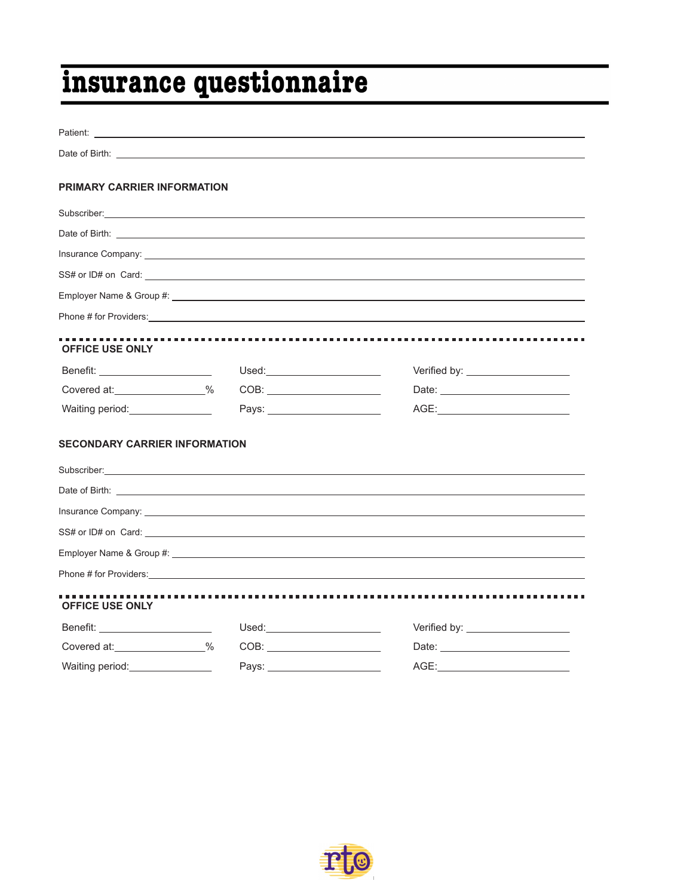# insurance questionnaire

| Patient: <u>Design and the contract of the contract of the contract of the contract of the contract of the contract of the contract of the contract of the contract of the contract of the contract of the contract of the contr</u>                                         |                                                                                                                                                                                                                                |                                                                                                                                                                                                                                      |
|------------------------------------------------------------------------------------------------------------------------------------------------------------------------------------------------------------------------------------------------------------------------------|--------------------------------------------------------------------------------------------------------------------------------------------------------------------------------------------------------------------------------|--------------------------------------------------------------------------------------------------------------------------------------------------------------------------------------------------------------------------------------|
|                                                                                                                                                                                                                                                                              |                                                                                                                                                                                                                                | Date of Birth: <u>Communication</u> Contract and Contract Contract Contract Contract Contract Contract Contract Contract Contract Contract Contract Contract Contract Contract Contract Contract Contract Contract Contract Contrac  |
| PRIMARY CARRIER INFORMATION                                                                                                                                                                                                                                                  |                                                                                                                                                                                                                                |                                                                                                                                                                                                                                      |
| Subscriber: <u>Contract Communication</u> Contract Communication Communication Communication Communication                                                                                                                                                                   |                                                                                                                                                                                                                                |                                                                                                                                                                                                                                      |
|                                                                                                                                                                                                                                                                              |                                                                                                                                                                                                                                |                                                                                                                                                                                                                                      |
|                                                                                                                                                                                                                                                                              |                                                                                                                                                                                                                                |                                                                                                                                                                                                                                      |
|                                                                                                                                                                                                                                                                              |                                                                                                                                                                                                                                | $SS#$ or ID# on Card: $\Box$                                                                                                                                                                                                         |
|                                                                                                                                                                                                                                                                              |                                                                                                                                                                                                                                |                                                                                                                                                                                                                                      |
|                                                                                                                                                                                                                                                                              |                                                                                                                                                                                                                                | Phone # for Providers: example and the set of the set of the set of the set of the set of the set of the set of the set of the set of the set of the set of the set of the set of the set of the set of the set of the set of        |
| <b>OFFICE USE ONLY</b>                                                                                                                                                                                                                                                       |                                                                                                                                                                                                                                |                                                                                                                                                                                                                                      |
| Benefit: ______________________                                                                                                                                                                                                                                              |                                                                                                                                                                                                                                | Verified by: ____________________                                                                                                                                                                                                    |
| Covered at: 300 %                                                                                                                                                                                                                                                            |                                                                                                                                                                                                                                |                                                                                                                                                                                                                                      |
| Waiting period:________________                                                                                                                                                                                                                                              | Pays: the contract of the contract of the contract of the contract of the contract of the contract of the contract of the contract of the contract of the contract of the contract of the contract of the contract of the cont |                                                                                                                                                                                                                                      |
| <b>SECONDARY CARRIER INFORMATION</b><br>Subscriber: <u>Contract of the Contract of the Contract of the Contract of the Contract of the Contract of the Contract of the Contract of the Contract of the Contract of the Contract of the Contract of the Contract of the C</u> |                                                                                                                                                                                                                                |                                                                                                                                                                                                                                      |
|                                                                                                                                                                                                                                                                              |                                                                                                                                                                                                                                |                                                                                                                                                                                                                                      |
|                                                                                                                                                                                                                                                                              |                                                                                                                                                                                                                                | Insurance Company: <u>example and a series of the series of the series of the series of the series of the series of the series of the series of the series of the series of the series of the series of the series of the series</u> |
|                                                                                                                                                                                                                                                                              |                                                                                                                                                                                                                                |                                                                                                                                                                                                                                      |
|                                                                                                                                                                                                                                                                              |                                                                                                                                                                                                                                |                                                                                                                                                                                                                                      |
|                                                                                                                                                                                                                                                                              |                                                                                                                                                                                                                                | Phone # for Providers: <u>example and the set of the set of the set of the set of the set of the set of the set of the set of the set of the set of the set of the set of the set of the set of the set of the set of the set of</u> |
| <b>OFFICE USE ONLY</b>                                                                                                                                                                                                                                                       |                                                                                                                                                                                                                                |                                                                                                                                                                                                                                      |
| Benefit: _______________________                                                                                                                                                                                                                                             | Used:_________________________                                                                                                                                                                                                 | Verified by: ____________________                                                                                                                                                                                                    |
| Covered at: 300 %                                                                                                                                                                                                                                                            |                                                                                                                                                                                                                                |                                                                                                                                                                                                                                      |
| Waiting period:                                                                                                                                                                                                                                                              | Pays:                                                                                                                                                                                                                          | AGE:                                                                                                                                                                                                                                 |

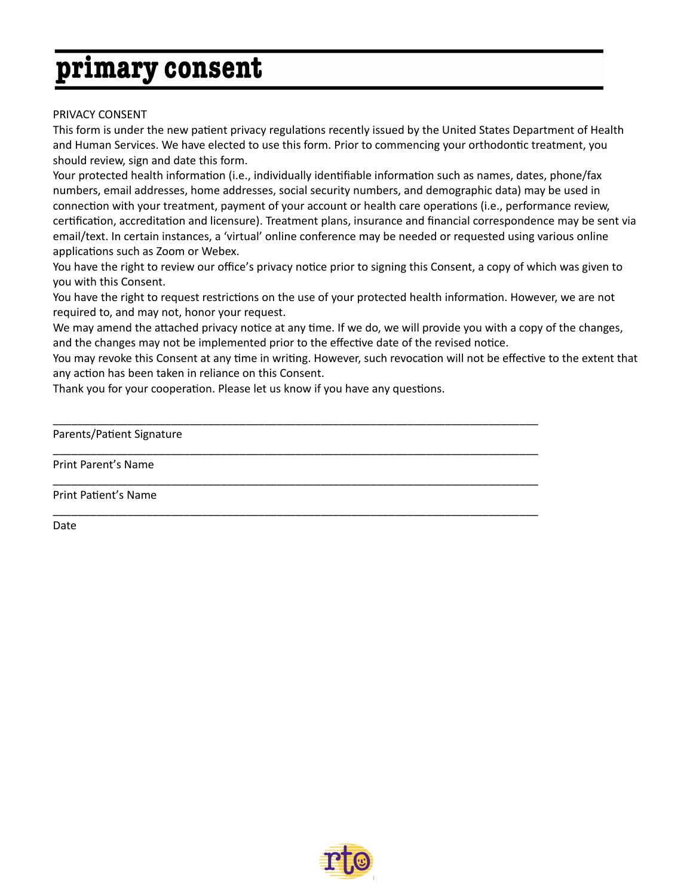## primary consent

### PRIVACY CONSENT

This form is under the new patient privacy regulations recently issued by the United States Department of Health and Human Services. We have elected to use this form. Prior to commencing your orthodontic treatment, you should review, sign and date this form.

Your protected health information (i.e., individually identifiable information such as names, dates, phone/fax numbers, email addresses, home addresses, social security numbers, and demographic data) may be used in connection with your treatment, payment of your account or health care operations (i.e., performance review, certification, accreditation and licensure). Treatment plans, insurance and financial correspondence may be sent via email/text. In certain instances, a 'virtual' online conference may be needed or requested using various online applications such as Zoom or Webex.

You have the right to review our office's privacy notice prior to signing this Consent, a copy of which was given to you with this Consent.

You have the right to request restrictions on the use of your protected health information. However, we are not required to, and may not, honor your request.

We may amend the attached privacy notice at any time. If we do, we will provide you with a copy of the changes, and the changes may not be implemented prior to the effective date of the revised notice.

You may revoke this Consent at any time in writing. However, such revocation will not be effective to the extent that any action has been taken in reliance on this Consent.

Thank you for your cooperation. Please let us know if you have any questions.

\_\_\_\_\_\_\_\_\_\_\_\_\_\_\_\_\_\_\_\_\_\_\_\_\_\_\_\_\_\_\_\_\_\_\_\_\_\_\_\_\_\_\_\_\_\_\_\_\_\_\_\_\_\_\_\_\_\_\_\_\_\_\_\_\_\_\_\_\_\_\_\_\_\_\_\_\_\_

\_\_\_\_\_\_\_\_\_\_\_\_\_\_\_\_\_\_\_\_\_\_\_\_\_\_\_\_\_\_\_\_\_\_\_\_\_\_\_\_\_\_\_\_\_\_\_\_\_\_\_\_\_\_\_\_\_\_\_\_\_\_\_\_\_\_\_\_\_\_\_\_\_\_\_\_\_\_

\_\_\_\_\_\_\_\_\_\_\_\_\_\_\_\_\_\_\_\_\_\_\_\_\_\_\_\_\_\_\_\_\_\_\_\_\_\_\_\_\_\_\_\_\_\_\_\_\_\_\_\_\_\_\_\_\_\_\_\_\_\_\_\_\_\_\_\_\_\_\_\_\_\_\_\_\_\_

\_\_\_\_\_\_\_\_\_\_\_\_\_\_\_\_\_\_\_\_\_\_\_\_\_\_\_\_\_\_\_\_\_\_\_\_\_\_\_\_\_\_\_\_\_\_\_\_\_\_\_\_\_\_\_\_\_\_\_\_\_\_\_\_\_\_\_\_\_\_\_\_\_\_\_\_\_\_

Parents/Patient Signature

Print Parent's Name

Print Patient's Name

Date